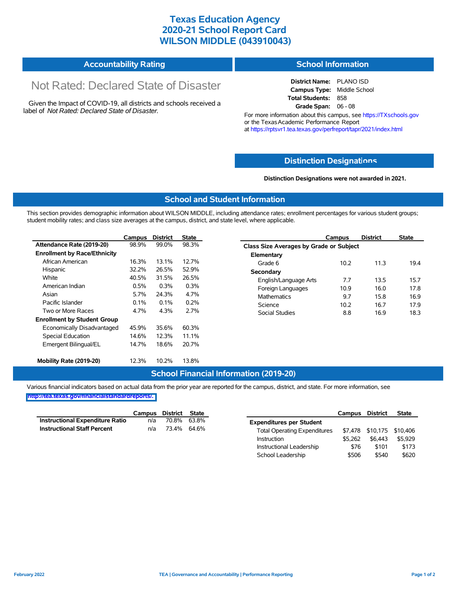## **Texas Education Agency 2020-21 School Report Card WILSON MIDDLE (043910043)**

#### **Accountability Rating School Information**

# Not Rated: Declared State of Disaster

Given the Impact of COVID-19, all districts and schools received a label of *Not Rated: Declared State of Disaster.*

**District Name:** PLANO ISD **Campus Type:** Middle School **Total Students:** 858 **Grade Span:** 06 - 08

For more information about this campus, see https://TXschools.gov or the Texas Academic Performance Report at https://rptsvr1.tea.texas.gov/perfreport/tapr/2021/index.html

#### **Distinction Designat[ions](https://TXschools.gov)**

**Distinction Designations were not awarded in 2021.**

School Leadership  $$506$  \$540 \$620

#### **School and Student Information**

This section provides demographic information about WILSON MIDDLE, including attendance rates; enrollment percentages for various student groups; student mobility rates; and class size averages at the campus, district, and state level, where applicable.

|                                     | Campus                                      | <b>District</b>              | <b>State</b> | Campus                       | <b>District</b>                         | <b>State</b> |  |  |  |  |
|-------------------------------------|---------------------------------------------|------------------------------|--------------|------------------------------|-----------------------------------------|--------------|--|--|--|--|
| Attendance Rate (2019-20)           | 98.9%                                       | 99.0%                        | 98.3%        |                              | Class Size Averages by Grade or Subject |              |  |  |  |  |
| <b>Enrollment by Race/Ethnicity</b> |                                             |                              |              | Elementary                   |                                         |              |  |  |  |  |
| African American                    | 16.3%                                       | 13.1%<br>12.7%<br>Grade 6    |              |                              | 11.3                                    | 19.4         |  |  |  |  |
| Hispanic                            | 32.2%                                       | 26.5%                        | 52.9%        | Secondary                    |                                         |              |  |  |  |  |
| White                               | 40.5%<br>31.5%<br>26.5%                     | 7.7<br>English/Language Arts | 13.5         | 15.7                         |                                         |              |  |  |  |  |
| American Indian                     | 0.5%                                        | 0.3%                         | 0.3%         | Foreign Languages<br>10.9    | 16.0                                    | 17.8         |  |  |  |  |
| Asian                               | 5.7%<br>24.3%<br>4.7%<br><b>Mathematics</b> |                              |              | 9.7                          | 15.8                                    | 16.9         |  |  |  |  |
| Pacific Islander                    | 0.1%                                        | $0.1\%$                      | 0.2%         | Science<br>10.2              | 16.7                                    | 17.9         |  |  |  |  |
| Two or More Races                   | 4.7%                                        | 4.3%                         | 2.7%         | 8.8<br><b>Social Studies</b> | 16.9                                    | 18.3         |  |  |  |  |
| <b>Enrollment by Student Group</b>  |                                             |                              |              |                              |                                         |              |  |  |  |  |
| Economically Disadvantaged          | 45.9%                                       | 35.6%                        | 60.3%        |                              |                                         |              |  |  |  |  |
| Special Education                   | 14.6%                                       | 12.3%                        | 11.1%        |                              |                                         |              |  |  |  |  |
| Emergent Bilingual/EL               | 14.7%                                       | 18.6%                        | 20.7%        |                              |                                         |              |  |  |  |  |
|                                     |                                             |                              |              |                              |                                         |              |  |  |  |  |
| Mobility Rate (2019-20)             | 12.3%                                       | 10.2%                        | 13.8%        |                              |                                         |              |  |  |  |  |

#### **School Financial Information (2019-20)**

Various financial indicators based on actual data from the prior year are reported for the campus, district, and state. For more information, see

**[http://tea.texas.gov/financialstandardreports/.](http://tea.texas.gov/financialstandardreports/)**

|                                        | Campus | District State |             |                                     | Campus  | <b>District</b>           | <b>State</b> |
|----------------------------------------|--------|----------------|-------------|-------------------------------------|---------|---------------------------|--------------|
| <b>Instructional Expenditure Ratio</b> | n/a    | 70.8%          | 63.8%       | <b>Expenditures per Student</b>     |         |                           |              |
| <b>Instructional Staff Percent</b>     | n/a    |                | 73.4% 64.6% | <b>Total Operating Expenditures</b> |         | \$7,478 \$10,175 \$10,406 |              |
|                                        |        |                |             | Instruction                         | \$5.262 | \$6.443                   | \$5.929      |
|                                        |        |                |             | Instructional Leadership            | \$76    | \$101                     | \$173        |